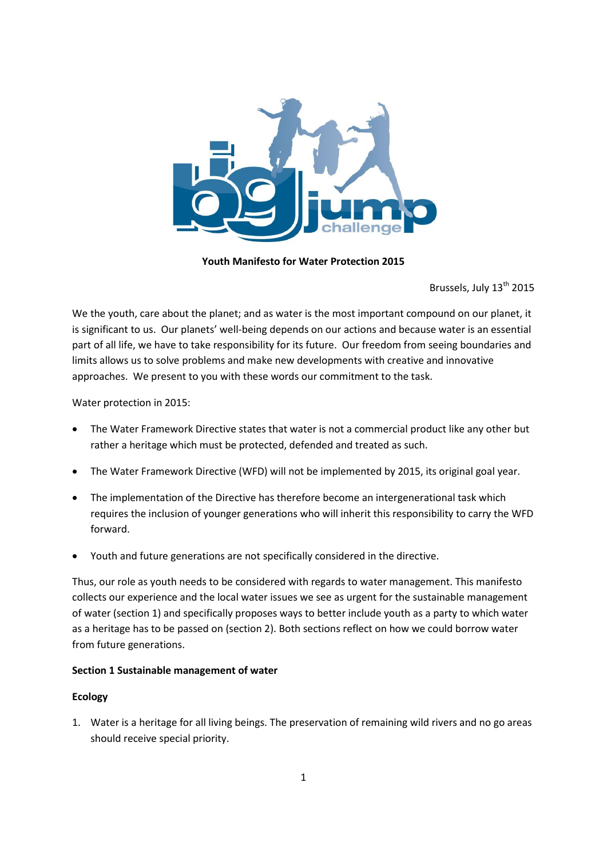

**Youth Manifesto for Water Protection 2015**

Brussels, July 13<sup>th</sup> 2015

We the youth, care about the planet; and as water is the most important compound on our planet, it is significant to us. Our planets' well-being depends on our actions and because water is an essential part of all life, we have to take responsibility for its future. Our freedom from seeing boundaries and limits allows us to solve problems and make new developments with creative and innovative approaches. We present to you with these words our commitment to the task.

Water protection in 2015:

- The Water Framework Directive states that water is not a commercial product like any other but rather a heritage which must be protected, defended and treated as such.
- The Water Framework Directive (WFD) will not be implemented by 2015, its original goal year.
- The implementation of the Directive has therefore become an intergenerational task which requires the inclusion of younger generations who will inherit this responsibility to carry the WFD forward.
- Youth and future generations are not specifically considered in the directive.

Thus, our role as youth needs to be considered with regards to water management. This manifesto collects our experience and the local water issues we see as urgent for the sustainable management of water (section 1) and specifically proposes ways to better include youth as a party to which water as a heritage has to be passed on (section 2). Both sections reflect on how we could borrow water from future generations.

## **Section 1 Sustainable management of water**

## **Ecology**

1. Water is a heritage for all living beings. The preservation of remaining wild rivers and no go areas should receive special priority.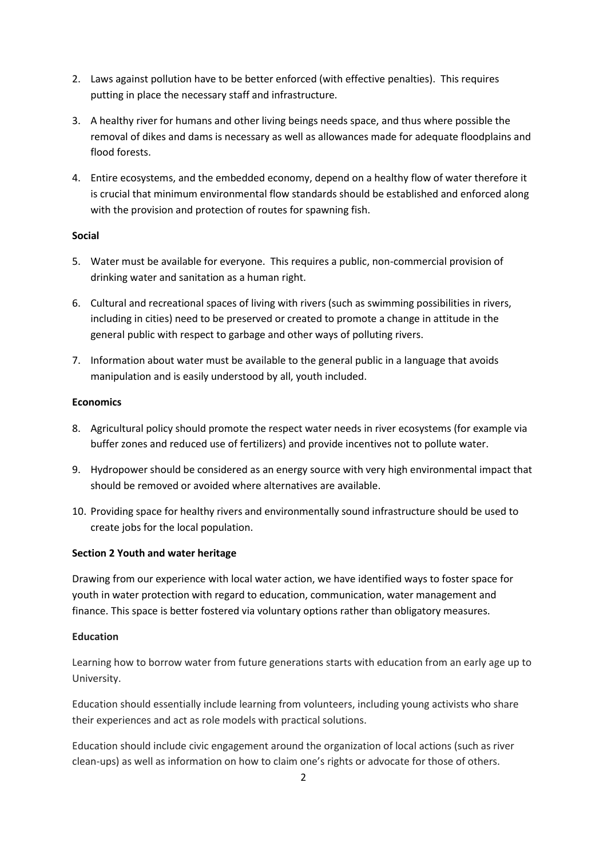- 2. Laws against pollution have to be better enforced (with effective penalties). This requires putting in place the necessary staff and infrastructure.
- 3. A healthy river for humans and other living beings needs space, and thus where possible the removal of dikes and dams is necessary as well as allowances made for adequate floodplains and flood forests.
- 4. Entire ecosystems, and the embedded economy, depend on a healthy flow of water therefore it is crucial that minimum environmental flow standards should be established and enforced along with the provision and protection of routes for spawning fish.

## **Social**

- 5. Water must be available for everyone. This requires a public, non-commercial provision of drinking water and sanitation as a human right.
- 6. Cultural and recreational spaces of living with rivers (such as swimming possibilities in rivers, including in cities) need to be preserved or created to promote a change in attitude in the general public with respect to garbage and other ways of polluting rivers.
- 7. Information about water must be available to the general public in a language that avoids manipulation and is easily understood by all, youth included.

## **Economics**

- 8. Agricultural policy should promote the respect water needs in river ecosystems (for example via buffer zones and reduced use of fertilizers) and provide incentives not to pollute water.
- 9. Hydropower should be considered as an energy source with very high environmental impact that should be removed or avoided where alternatives are available.
- 10. Providing space for healthy rivers and environmentally sound infrastructure should be used to create jobs for the local population.

# **Section 2 Youth and water heritage**

Drawing from our experience with local water action, we have identified ways to foster space for youth in water protection with regard to education, communication, water management and finance. This space is better fostered via voluntary options rather than obligatory measures.

## **Education**

Learning how to borrow water from future generations starts with education from an early age up to University.

Education should essentially include learning from volunteers, including young activists who share their experiences and act as role models with practical solutions.

Education should include civic engagement around the organization of local actions (such as river clean-ups) as well as information on how to claim one's rights or advocate for those of others.